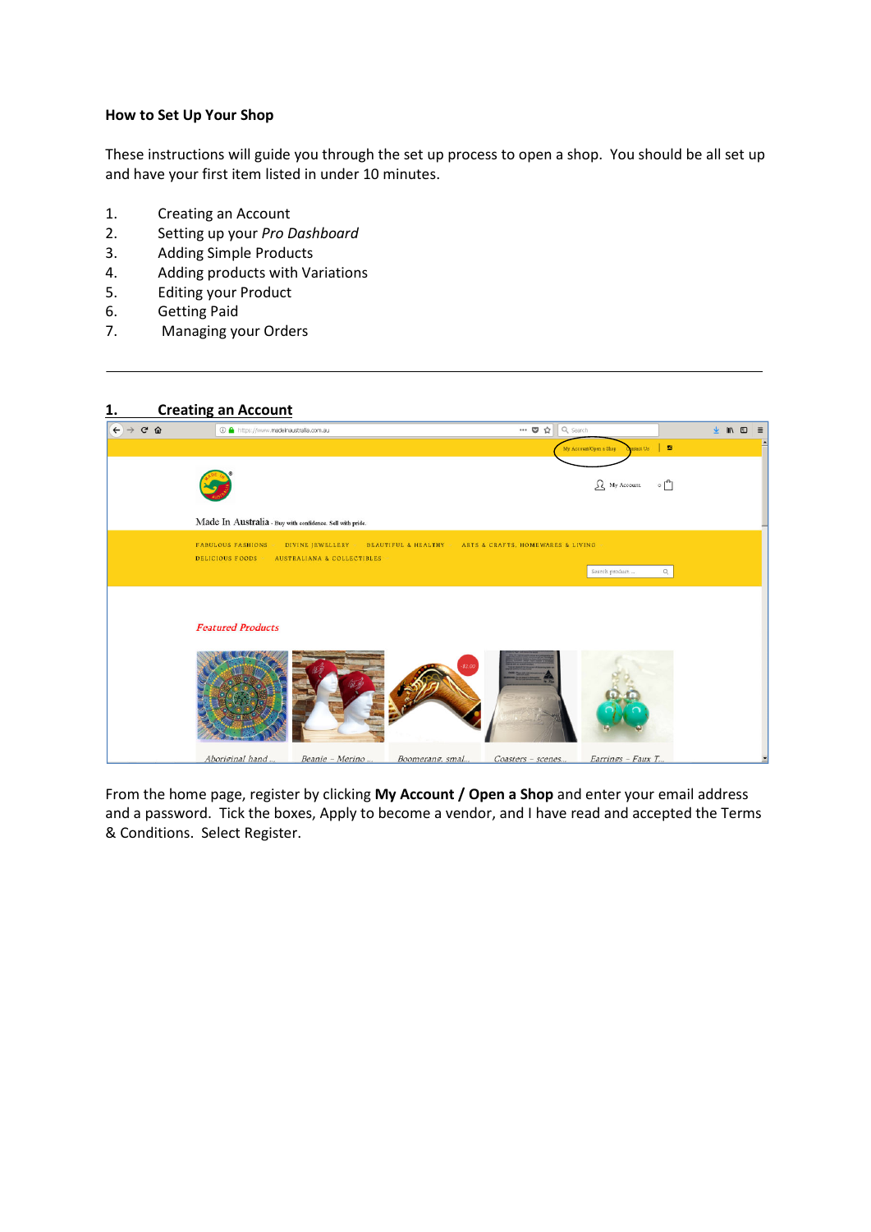## **How to Set Up Your Shop**

These instructions will guide you through the set up process to open a shop. You should be all set up and have your first item listed in under 10 minutes.

- 1. Creating an Account
- 2. Setting up your *Pro Dashboard*
- 3. Adding Simple Products
- 4. Adding products with Variations
- 5. Editing your Product
- 6. Getting Paid
- 7. Managing your Orders

# **1. Creating an Account**  $\begin{picture}(160,17)(-0,0) \put(0,0){\vector(0,1){10}} \put(15,0){\vector(0,1){10}} \put(15,0){\vector(0,1){10}} \put(15,0){\vector(0,1){10}} \put(15,0){\vector(0,1){10}} \put(15,0){\vector(0,1){10}} \put(15,0){\vector(0,1){10}} \put(15,0){\vector(0,1){10}} \put(15,0){\vector(0,1){10}} \put(15,0){\vector(0,1){10}} \put(15,0){\vector(0,1){10}} \put(15,$  $\overline{\mathbf{w}}$   $\overline{\mathbf{Q}}$   $\overline{\mathbf{Q}}$   $\overline{\mathbf{Q}}$  se  $\textcircled{1}$  https://www.madeinaustralia.com.au  $\ddot{\mathbf{r}}$  $\mathbb{R}$  $\bullet$  $\Omega$  My Account  $\circ$ Made In Australia - Buy with confidence. Sell with pride. FABULOUS FASHIONS - DIVINE JEWELLERY - BEAUTIFUL & HEALTHY - ARTS & CRAFTS, HOMEWARES & LIVING DELICIOUS FOODS > AUSTRALIANA & COLLECTIBLES  $\alpha$ Search pro **Featured Products** Aboriginal hand... Beanie - Merino ... Boomerang. smal... Coasters - scenes... Earrings - Faux T.

From the home page, register by clicking **My Account / Open a Shop** and enter your email address and a password. Tick the boxes, Apply to become a vendor, and I have read and accepted the Terms & Conditions. Select Register.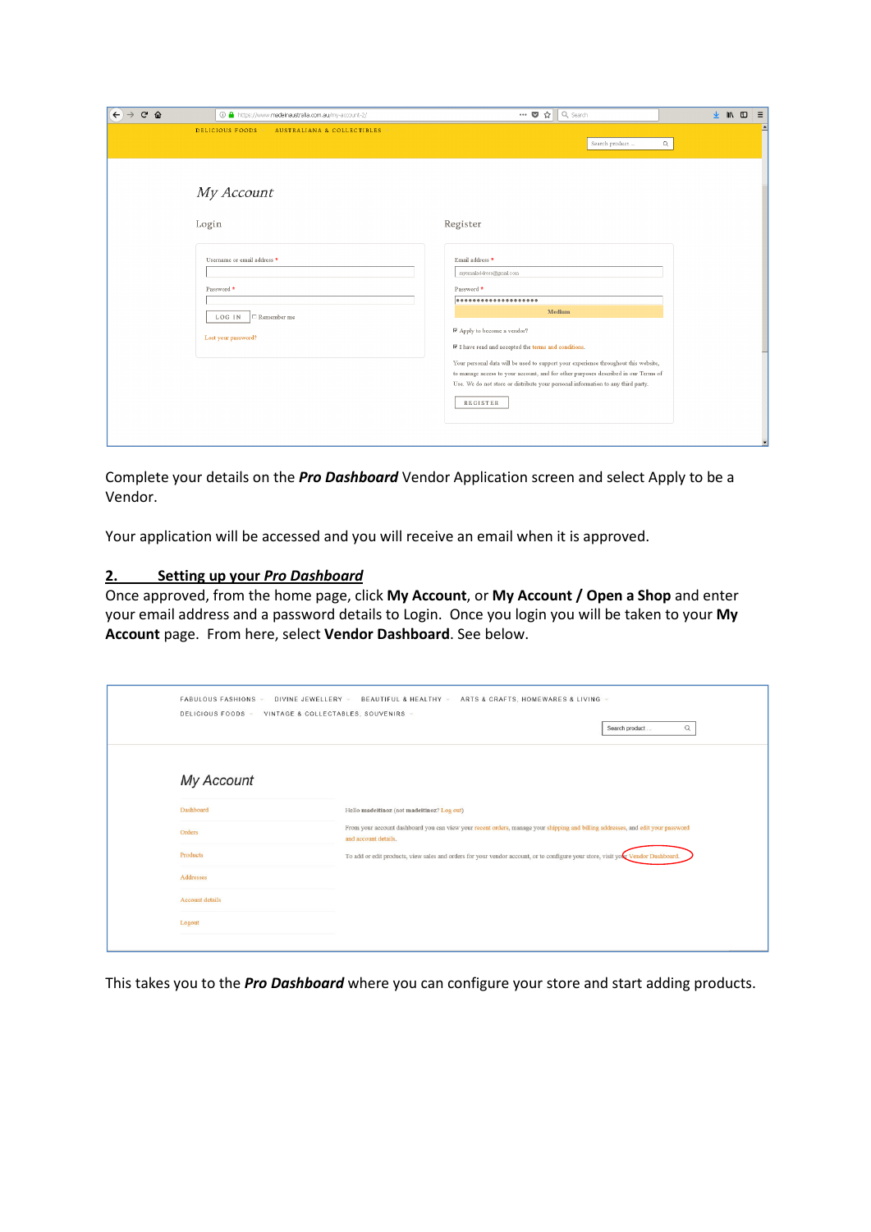| $C$ $\Omega$<br>← | 1 https://www.madeinaustralia.com.au/my-account-2/                                               | … ◎ ☆ Q Search<br>▲ Ⅲ 四<br>$\equiv$                                                                                                                                                                                                                                                                                                                                                                                                                       |
|-------------------|--------------------------------------------------------------------------------------------------|-----------------------------------------------------------------------------------------------------------------------------------------------------------------------------------------------------------------------------------------------------------------------------------------------------------------------------------------------------------------------------------------------------------------------------------------------------------|
|                   | <b>DELICIOUS FOODS</b><br>AUSTRALIANA & COLLECTIBLES                                             | Ŀ<br>Search product<br>$\mathbb{Q}$                                                                                                                                                                                                                                                                                                                                                                                                                       |
|                   | My Account                                                                                       |                                                                                                                                                                                                                                                                                                                                                                                                                                                           |
|                   | Login                                                                                            | Register                                                                                                                                                                                                                                                                                                                                                                                                                                                  |
|                   | Username or email address *<br>Password *<br>$\Box$ Remember me<br>LOG IN<br>Lost your password? | Email address *<br>myemailaddress@gmail.com<br>Password *<br><br>Medium<br>■ Apply to become a vendor?<br>$\nabla$ I have read and accepted the terms and conditions.<br>Your personal data will be used to support your experience throughout this website,<br>to manage access to your account, and for other purposes described in our Terms of<br>Use. We do not store or distribute your personal information to any third party.<br><b>REGISTER</b> |

Complete your details on the *Pro Dashboard* Vendor Application screen and select Apply to be a Vendor.

Your application will be accessed and you will receive an email when it is approved.

#### **2. Setting up your** *Pro Dashboard*

Once approved, from the home page, click **My Account**, or **My Account / Open a Shop** and enter your email address and a password details to Login. Once you login you will be taken to your **My Account** page. From here, select **Vendor Dashboard**. See below.

| FABULOUS FASHIONS V<br>DELICIOUS FOODS v | ARTS & CRAFTS, HOMEWARES & LIVING v<br>DIVINE JEWELLERY v<br>BEAUTIFUL & HEALTHY v<br>VINTAGE & COLLECTABLES, SOUVENIRS -<br>$\hbox{\footnotesize $\alpha$}$<br>Search product |
|------------------------------------------|--------------------------------------------------------------------------------------------------------------------------------------------------------------------------------|
| My Account                               |                                                                                                                                                                                |
| Dashboard                                | Hello madeitinoz (not madeitinoz? Log out)                                                                                                                                     |
| Orders                                   | From your account dashboard you can view your recent orders, manage your shipping and billing addresses, and edit your password<br>and account details.                        |
| <b>Products</b>                          | To add or edit products, view sales and orders for your vendor account, or to configure your store, visit your Vendor Dashboard.                                               |
| Addresses                                |                                                                                                                                                                                |
| <b>Account details</b>                   |                                                                                                                                                                                |
| Logout                                   |                                                                                                                                                                                |
|                                          |                                                                                                                                                                                |

This takes you to the *Pro Dashboard* where you can configure your store and start adding products.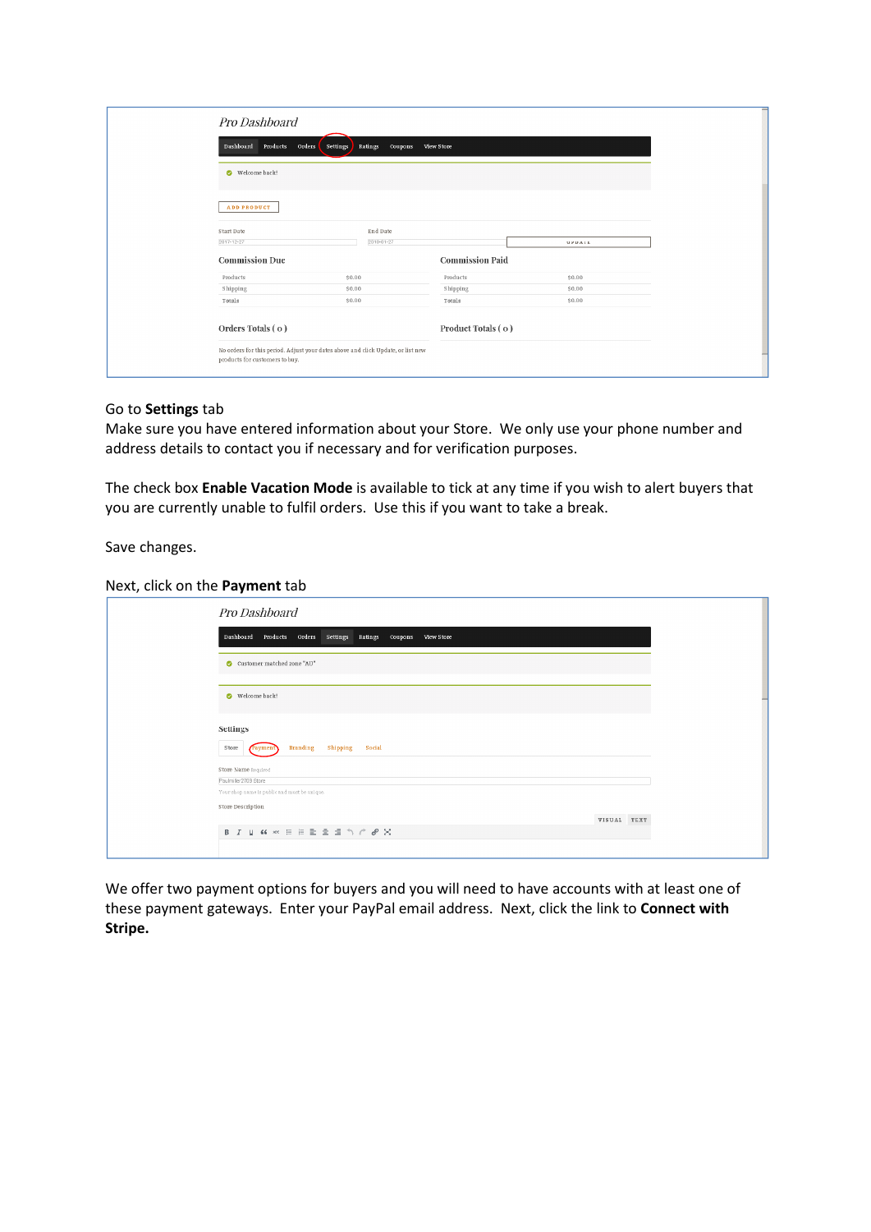| Pro Dashboard                   |                                                                                  |                        |               |
|---------------------------------|----------------------------------------------------------------------------------|------------------------|---------------|
| Products<br>Dashboard<br>Orders | Ratings<br>Coupons<br>Settings                                                   | View Store             |               |
| Welcome back!                   |                                                                                  |                        |               |
| <b>ADD PRODUCT</b>              |                                                                                  |                        |               |
| Start Date                      | End Date                                                                         |                        |               |
| 2017-12-27                      | 2010-01-27                                                                       |                        | <b>UPDATE</b> |
| <b>Commission Due</b>           |                                                                                  | <b>Commission Paid</b> |               |
| Products                        | \$0.00                                                                           | Products               | \$0.00        |
| Shipping                        | \$0.00                                                                           | Shipping               | \$0.00        |
| Totals                          | \$0.00                                                                           | Totals                 | \$0.00        |
| Orders Totals (0)               |                                                                                  | Product Totals (o)     |               |
| products for customers to buy.  | No orders for this period. Adjust your dates above and click Update, or list new |                        |               |

#### Go to **Settings** tab

Make sure you have entered information about your Store. We only use your phone number and address details to contact you if necessary and for verification purposes.

The check box **Enable Vacation Mode** is available to tick at any time if you wish to alert buyers that you are currently unable to fulfil orders. Use this if you want to take a break.

Save changes.

Next, click on the **Payment** tab

| Pro Dashboard                                                        |
|----------------------------------------------------------------------|
| Products Orders<br>Dashboard<br>Settings Ratings Coupons View Store  |
| Customer matched zone "AU"                                           |
| Welcome back!                                                        |
|                                                                      |
| Settings<br><b>Branding</b><br>Store<br>Shipping Social<br>Payment   |
| Store Name Required                                                  |
| Paulmiller2709 Store<br>Your shop name is public and must be unique. |
| Store Description<br>VISUAL TEXT                                     |
| B J U K << E E E E E E 1 1 / 2 X                                     |
|                                                                      |

We offer two payment options for buyers and you will need to have accounts with at least one of these payment gateways. Enter your PayPal email address. Next, click the link to **Connect with Stripe.**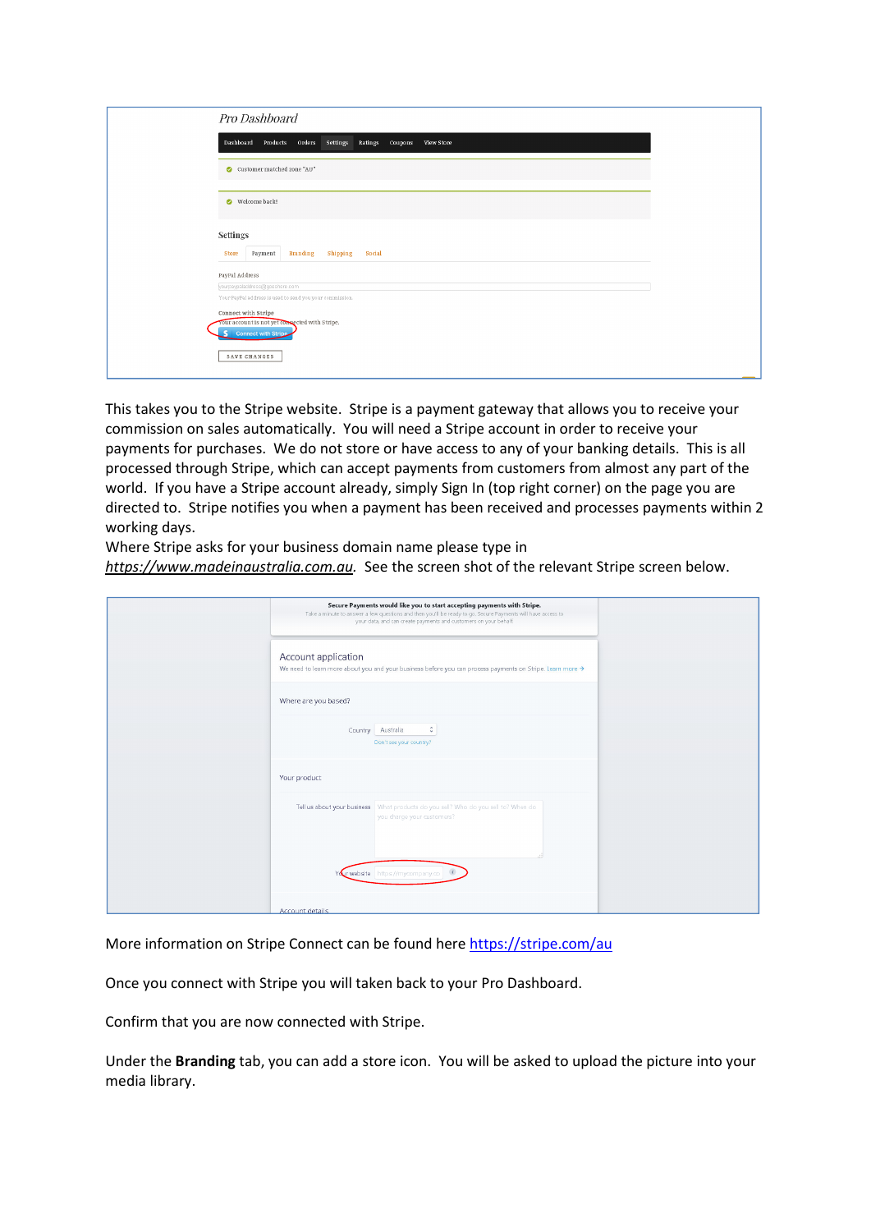| Pro Dashboard                                                                                                |
|--------------------------------------------------------------------------------------------------------------|
| Dashboard Products Orders Settings Ratings<br>Coupons View Store                                             |
| Customer matched zone "AU"                                                                                   |
| Welcome back!                                                                                                |
| Settings<br>Payment<br><b>Branding</b> Shipping Social<br>Store                                              |
| PayPal Address<br>yourpaypaladdress@goeshere.com<br>Your PayPal address is used to send you your commission. |
| Connect with Stripe<br>your account is not yet compected with Stripe.<br>S Connect with Stripe               |
| SAVE CHANGES                                                                                                 |

This takes you to the Stripe website. Stripe is a payment gateway that allows you to receive your commission on sales automatically. You will need a Stripe account in order to receive your payments for purchases. We do not store or have access to any of your banking details. This is all processed through Stripe, which can accept payments from customers from almost any part of the world. If you have a Stripe account already, simply Sign In (top right corner) on the page you are directed to. Stripe notifies you when a payment has been received and processes payments within 2 working days.

Where Stripe asks for your business domain name please type in *https://www.madeinaustralia.com.au.* See the screen shot of the relevant Stripe screen below.

| Secure Payments would like you to start accepting payments with Stripe.<br>Take a minute to answer a few questions and then you'll be ready to go. Secure Payments will have access to<br>your data, and can create payments and customers on your behalf. |
|------------------------------------------------------------------------------------------------------------------------------------------------------------------------------------------------------------------------------------------------------------|
| Account application<br>We need to learn more about you and your business before you can process payments on Stripe. Learn more >                                                                                                                           |
| Where are you based?                                                                                                                                                                                                                                       |
| $\hat{\mathbb{I}}$<br>Country Australia<br>Don't see your country?                                                                                                                                                                                         |
| Your product                                                                                                                                                                                                                                               |
| Tell us about your business   What products do you sell? Who do you sell to? When do<br>you charge your customers?                                                                                                                                         |
|                                                                                                                                                                                                                                                            |
| Your website https://mycompany.co d<br>A description of the Charles                                                                                                                                                                                        |
|                                                                                                                                                                                                                                                            |

More information on Stripe Connect can be found here https://stripe.com/au

Once you connect with Stripe you will taken back to your Pro Dashboard.

Confirm that you are now connected with Stripe.

Under the **Branding** tab, you can add a store icon. You will be asked to upload the picture into your media library.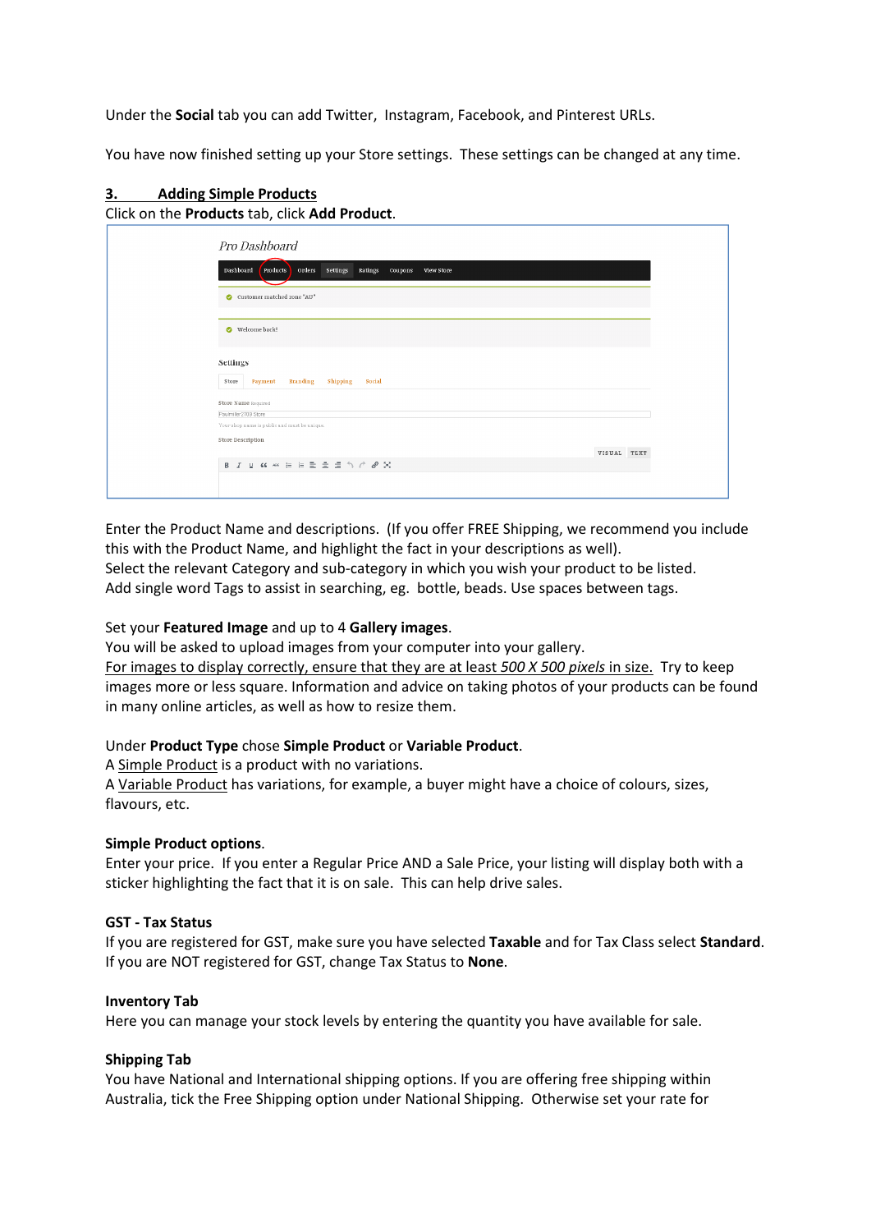Under the **Social** tab you can add Twitter, Instagram, Facebook, and Pinterest URLs.

You have now finished setting up your Store settings. These settings can be changed at any time.

#### **3. Adding Simple Products** Click on the **Products** tab, click **Add Product**.

| Pro Dashboard                                                                          |             |
|----------------------------------------------------------------------------------------|-------------|
|                                                                                        |             |
| Orders<br>Dashboard<br>Settings<br>Ratings<br>Products<br>Coupons<br><b>View Store</b> |             |
| Customer matched zone "AU"                                                             |             |
| Welcome back!                                                                          |             |
| Settings                                                                               |             |
| <b>Branding</b><br>Shipping<br>Social<br>Store<br>Payment                              |             |
| Store Name Required                                                                    |             |
| Paulmiller2709 Store<br>Your shop name is public and must be unique.                   |             |
| Store Description                                                                      |             |
|                                                                                        | VISUAL TEXT |
| B J U K << = = = = = = h / 0 X                                                         |             |
|                                                                                        |             |
|                                                                                        |             |

Enter the Product Name and descriptions. (If you offer FREE Shipping, we recommend you include this with the Product Name, and highlight the fact in your descriptions as well). Select the relevant Category and sub-category in which you wish your product to be listed. Add single word Tags to assist in searching, eg. bottle, beads. Use spaces between tags.

## Set your **Featured Image** and up to 4 **Gallery images**.

You will be asked to upload images from your computer into your gallery.

For images to display correctly, ensure that they are at least *500 X 500 pixels* in size. Try to keep images more or less square. Information and advice on taking photos of your products can be found in many online articles, as well as how to resize them.

## Under **Product Type** chose **Simple Product** or **Variable Product**.

A Simple Product is a product with no variations.

A Variable Product has variations, for example, a buyer might have a choice of colours, sizes, flavours, etc.

## **Simple Product options**.

Enter your price. If you enter a Regular Price AND a Sale Price, your listing will display both with a sticker highlighting the fact that it is on sale. This can help drive sales.

## **GST - Tax Status**

If you are registered for GST, make sure you have selected **Taxable** and for Tax Class select **Standard**. If you are NOT registered for GST, change Tax Status to **None**.

## **Inventory Tab**

Here you can manage your stock levels by entering the quantity you have available for sale.

## **Shipping Tab**

You have National and International shipping options. If you are offering free shipping within Australia, tick the Free Shipping option under National Shipping. Otherwise set your rate for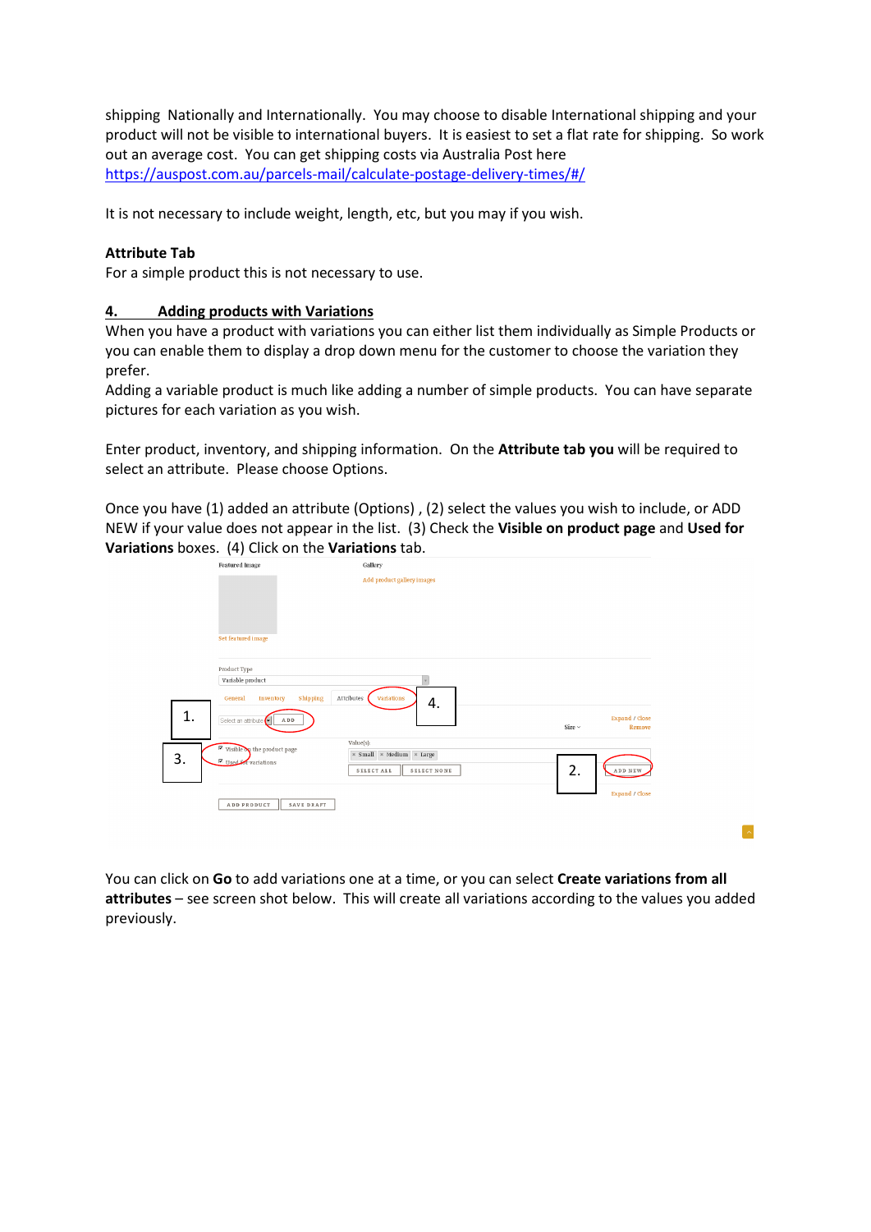shipping Nationally and Internationally. You may choose to disable International shipping and your product will not be visible to international buyers. It is easiest to set a flat rate for shipping. So work out an average cost. You can get shipping costs via Australia Post here https://auspost.com.au/parcels-mail/calculate-postage-delivery-times/#/

It is not necessary to include weight, length, etc, but you may if you wish.

# **Attribute Tab**

For a simple product this is not necessary to use.

# **4. Adding products with Variations**

When you have a product with variations you can either list them individually as Simple Products or you can enable them to display a drop down menu for the customer to choose the variation they prefer.

Adding a variable product is much like adding a number of simple products. You can have separate pictures for each variation as you wish.

Enter product, inventory, and shipping information. On the **Attribute tab you** will be required to select an attribute. Please choose Options.

Once you have (1) added an attribute (Options) , (2) select the values you wish to include, or ADD NEW if your value does not appear in the list. (3) Check the **Visible on product page** and **Used for Variations** boxes. (4) Click on the **Variations** tab.

|    | <b>Featured</b> Image                                            | Gallery                    |                            |                |
|----|------------------------------------------------------------------|----------------------------|----------------------------|----------------|
|    |                                                                  | Add product gallery images |                            |                |
|    |                                                                  |                            |                            |                |
|    |                                                                  |                            |                            |                |
|    |                                                                  |                            |                            |                |
|    | Set featured image                                               |                            |                            |                |
|    |                                                                  |                            |                            |                |
|    | Product Type                                                     |                            |                            |                |
|    | Variable product                                                 |                            |                            |                |
|    | Attributes<br>Shipping<br>General<br>Inventory                   | <b>Variations</b><br>4.    |                            |                |
| 1. | Select an attribute<br>A D D                                     |                            |                            | Expand / Close |
|    |                                                                  |                            | Size $\scriptstyle\rm\sim$ | Remove         |
|    | Value(s):<br>$\overline{\mathbf{P}}$ Visible on the product page |                            |                            |                |
| 3. | $\overline{\triangleright}$ Used for variations                  | * Small * Medium * Large   |                            |                |
|    |                                                                  | SELECT ALL<br>SELECT NONE  | 2.                         | ADD NEW        |
|    |                                                                  |                            |                            |                |
|    | ADD PRODUCT<br>SAVE DRAFT                                        |                            |                            |                |
|    |                                                                  |                            |                            |                |
|    |                                                                  |                            |                            | Expand / Close |

You can click on **Go** to add variations one at a time, or you can select **Create variations from all attributes** – see screen shot below. This will create all variations according to the values you added previously.

 $\sim$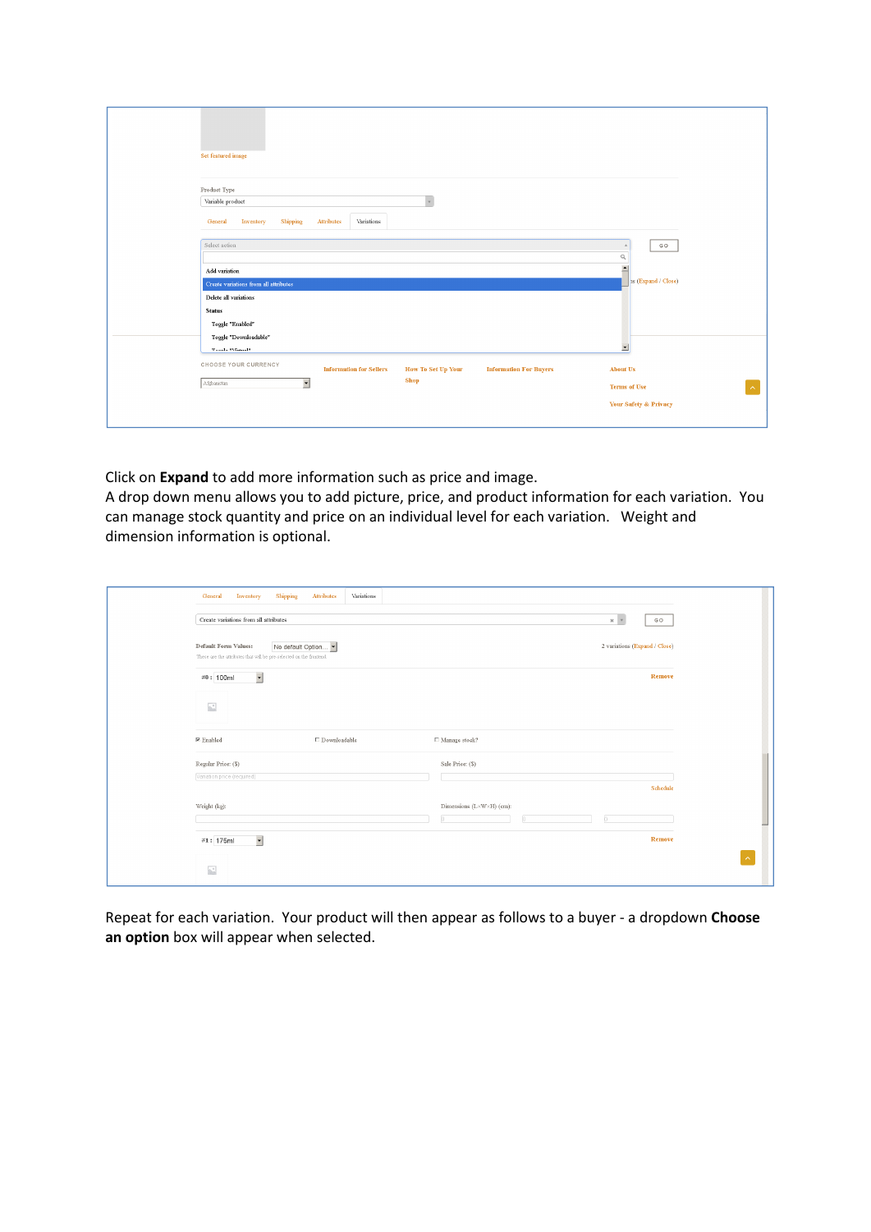| Set featured image                                                                                                                                                                                     |                                                                          |
|--------------------------------------------------------------------------------------------------------------------------------------------------------------------------------------------------------|--------------------------------------------------------------------------|
| Product Type<br>Variable product<br>$_{\rm v}$<br>Variations<br>Shipping<br>Attributes<br>Inventory<br>General                                                                                         |                                                                          |
| Select action<br>Add variation<br>Create variations from all attributes                                                                                                                                | GO<br>A<br>$\alpha$<br>$\overline{\phantom{0}}$<br>as (Expand / Close)   |
| Delete all variations<br><b>Status</b><br>Toggle "Enabled"<br>Toggle "Downloadable"                                                                                                                    |                                                                          |
| <b>Trends Whand!</b><br>CHOOSE YOUR CURRENCY<br><b>How To Set Up Your</b><br><b>Information for Sellers</b><br><b>Information For Buyers</b><br><b>Shop</b><br>$\overline{\phantom{a}}$<br>Afghanistan | $\blacktriangledown$<br><b>About Us</b><br><b>Terms of Use</b><br>$\sim$ |
|                                                                                                                                                                                                        | Your Safety & Privacy                                                    |

Click on **Expand** to add more information such as price and image.

A drop down menu allows you to add picture, price, and product information for each variation. You can manage stock quantity and price on an individual level for each variation. Weight and dimension information is optional.

| General<br>Inventory                      | Shipping<br>Variations<br>Attributes                                                     |                                                                   |
|-------------------------------------------|------------------------------------------------------------------------------------------|-------------------------------------------------------------------|
| Create variations from all attributes     |                                                                                          | $\times$ $\hspace{0.1cm}$ $\hspace{0.1cm}$ $\hspace{0.1cm}$<br>GO |
| Default Form Values:                      | No default Option<br>These are the attributes that will be pre-selected on the frontend. | 2 variations (Expand / Close)                                     |
| #0: 100ml                                 | $\overline{\phantom{a}}$                                                                 | Remove                                                            |
| $\mathcal{N}^{\mathcal{S}}_{\mathcal{S}}$ |                                                                                          |                                                                   |
| $\n  E$ Enabled                           | $\Box$ Downloadable                                                                      | □ Manage stock?                                                   |
| Regular Price: (\$)                       |                                                                                          | Sale Price: (\$)                                                  |
| Variation price (required)                |                                                                                          | Schedule                                                          |
| Weight (kg):                              |                                                                                          | Dimensions (L×W×H) (em):<br>n.                                    |
| #1: 175ml                                 | $\overline{\phantom{a}}$                                                                 | Remove                                                            |
| $\mathcal{L}^{\circ}$                     |                                                                                          |                                                                   |

Repeat for each variation. Your product will then appear as follows to a buyer - a dropdown **Choose an option** box will appear when selected.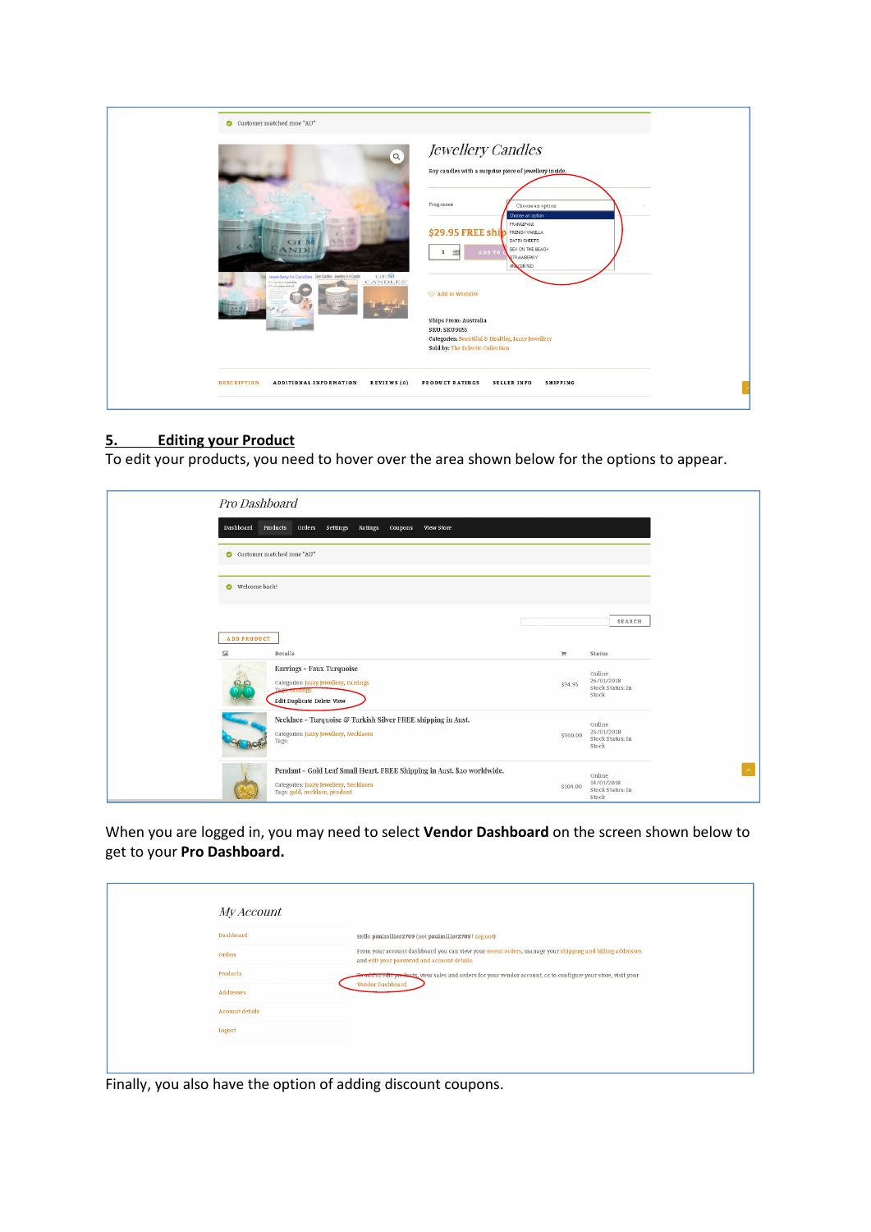|                    | Customer matched zone "AU"<br>$\alpha$<br>GEM<br>Jewellery In Candles GenCardes-Jewlery In A Carde<br>CANDLES"<br>I's not just a candle<br>It's an experience! | Jewellery Candles<br>Soy candles with a surprise piece of jewellery inside.<br>Fragrance<br>Choose an option<br>Choose an option<br>FRANGIPANI<br>\$29.95 FREE ship<br>SATIN SHEETS<br>SEX ON THE BEACH<br>ADD TO<br>1 量<br><b>STRAWBERRY</b><br><b>UNICENTED</b><br>C Add to Wishlist<br>Ships From: Australia<br>SKU: SKU9055<br>Categories: Beautiful & Healthy, Jazzy Jewellery<br>Sold by: The Eclectic Collection |
|--------------------|----------------------------------------------------------------------------------------------------------------------------------------------------------------|-------------------------------------------------------------------------------------------------------------------------------------------------------------------------------------------------------------------------------------------------------------------------------------------------------------------------------------------------------------------------------------------------------------------------|
| <b>DESCRIPTION</b> | <b>ADDITIONAL INFORMATION</b><br>REVIEWS (0)                                                                                                                   | PRODUCT RATINGS<br><b>SELLER INFO</b><br><b>SHIPPING</b>                                                                                                                                                                                                                                                                                                                                                                |

# **5. Editing your Product**

To edit your products, you need to hover over the area shown below for the options to appear.

| Pro Dashboard                                 |                                                                                                                                                    |          |                                                   |
|-----------------------------------------------|----------------------------------------------------------------------------------------------------------------------------------------------------|----------|---------------------------------------------------|
| Dashboard                                     | Products<br>Orders Settings<br>Ratings<br>coupons<br>View Store                                                                                    |          |                                                   |
|                                               | Customer matched zone "AU"                                                                                                                         |          |                                                   |
| Welcome back!                                 |                                                                                                                                                    |          |                                                   |
|                                               |                                                                                                                                                    |          | <b>SEARCH</b>                                     |
| <b>ADD PRODUCT</b><br>$\overline{\mathbf{a}}$ | Details                                                                                                                                            | Ħ.       | Status                                            |
|                                               | Earrings - Faux Turquoise<br>Categories: Jazzy Jewellery, Earrings<br><b>Tags-earnings</b><br>Edit Duplicate Delete View                           | \$34.95  | Online<br>26/01/2018<br>Stock Status: In<br>Stock |
|                                               | Necklace - Turquoise & Turkish Silver FREE shipping in Aust.<br>Categories: Jazzy Jewellery, Necklaces<br>Tags:                                    | \$360.00 | Online<br>26/01/2018<br>Stock Status: In<br>Stock |
|                                               | Pendant - Gold Leaf Small Heart. FREE Shipping in Aust. \$20 worldwide.<br>Categories: Jazzy Jewellery, Necklaces<br>Tags: gold, necklace, pendant | \$104.00 | Online<br>14/01/2018<br>Stock Status: In<br>Stock |

When you are logged in, you may need to select **Vendor Dashboard** on the screen shown below to get to your **Pro Dashboard.** 

|  | <i>My Account</i>      |                                                                                                                                                        |
|--|------------------------|--------------------------------------------------------------------------------------------------------------------------------------------------------|
|  | <b>Dashboard</b>       | Hello paulmiller2709 (not paulmiller2709? Log out)                                                                                                     |
|  | Orders                 | From your account dashboard you can view your recent orders, manage your shipping and billing addresses<br>and edit your password and account details. |
|  | Products               | To add or edit products, view sales and orders for your vendor account, or to configure your store, visit your<br>Vendor Dashboard.                    |
|  | Addresses              |                                                                                                                                                        |
|  | <b>Account details</b> |                                                                                                                                                        |
|  | Logout                 |                                                                                                                                                        |
|  |                        |                                                                                                                                                        |
|  |                        |                                                                                                                                                        |

Finally, you also have the option of adding discount coupons.